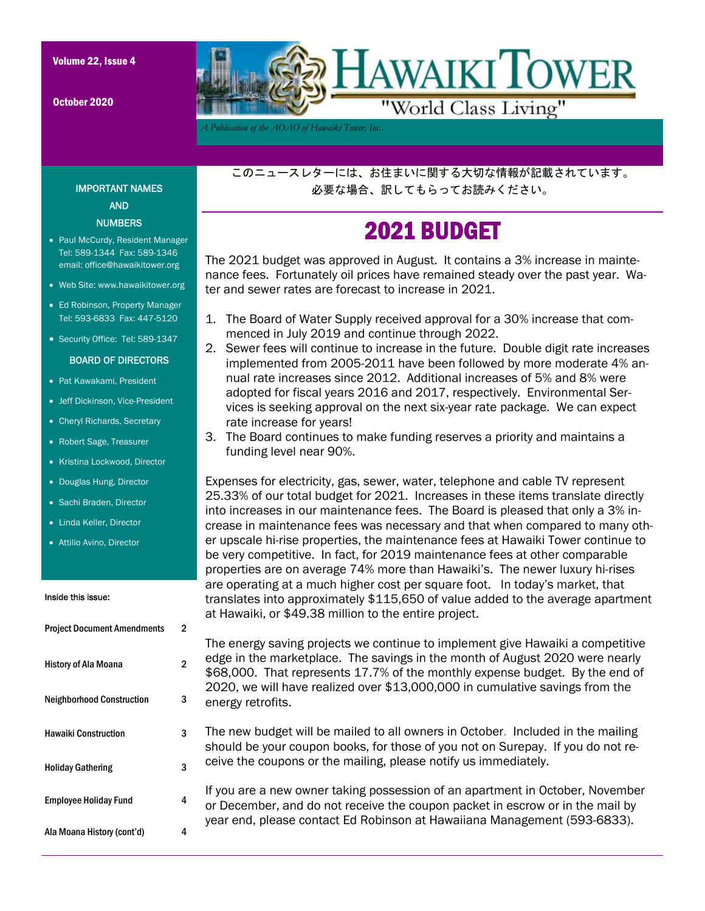October 2020



*A Publication of the AOAO of Hawaiki Tower, Inc..* 

このニュースレターには、お住まいに関する大切な情報が記載されています。 必要な場合、訳してもらってお読みください。

# 2021 BUDGET

The 2021 budget was approved in August. It contains a 3% increase in maintenance fees. Fortunately oil prices have remained steady over the past year. Water and sewer rates are forecast to increase in 2021.

- 1. The Board of Water Supply received approval for a 30% increase that commenced in July 2019 and continue through 2022.
- 2. Sewer fees will continue to increase in the future. Double digit rate increases implemented from 2005-2011 have been followed by more moderate 4% annual rate increases since 2012. Additional increases of 5% and 8% were adopted for fiscal years 2016 and 2017, respectively. Environmental Services is seeking approval on the next six-year rate package. We can expect rate increase for years!
- 3. The Board continues to make funding reserves a priority and maintains a funding level near 90%.

Expenses for electricity, gas, sewer, water, telephone and cable TV represent 25.33% of our total budget for 2021. Increases in these items translate directly into increases in our maintenance fees. The Board is pleased that only a 3% increase in maintenance fees was necessary and that when compared to many other upscale hi-rise properties, the maintenance fees at Hawaiki Tower continue to be very competitive. In fact, for 2019 maintenance fees at other comparable properties are on average 74% more than Hawaiki's. The newer luxury hi-rises are operating at a much higher cost per square foot. In today's market, that translates into approximately \$115,650 of value added to the average apartment at Hawaiki, or \$49.38 million to the entire project.

The energy saving projects we continue to implement give Hawaiki a competitive edge in the marketplace. The savings in the month of August 2020 were nearly \$68,000. That represents 17.7% of the monthly expense budget. By the end of 2020, we will have realized over \$13,000,000 in cumulative savings from the energy retrofits.

The new budget will be mailed to all owners in October. Included in the mailing should be your coupon books, for those of you not on Surepay. If you do not receive the coupons or the mailing, please notify us immediately.

If you are a new owner taking possession of an apartment in October, November or December, and do not receive the coupon packet in escrow or in the mail by year end, please contact Ed Robinson at Hawaiiana Management (593-6833).

#### IMPORTANT NAMES AND **NUMBERS**

- Paul McCurdy, Resident Manager Tel: 589-1344 Fax: 589-1346 email: office@hawaikitower.org
- Web Site: www.hawaikitower.org
- Ed Robinson, Property Manager Tel: 593-6833 Fax: 447-5120
- Security Office: Tel: 589-1347

#### BOARD OF DIRECTORS

- Pat Kawakami, President
- Jeff Dickinson, Vice-President
- Cheryl Richards, Secretary
- Robert Sage, Treasurer
- Kristina Lockwood, Director
- Douglas Hung, Director
- Sachi Braden, Director
- Linda Keller, Director
- Attilio Avino, Director

#### Inside this issue:

| <b>Project Document Amendments</b> | 2 |
|------------------------------------|---|
| <b>History of Ala Moana</b>        | 2 |
| <b>Neighborhood Construction</b>   | 3 |
| <b>Hawaiki Construction</b>        | 3 |
| <b>Holiday Gathering</b>           | 3 |
| <b>Employee Holiday Fund</b>       | 4 |
| Ala Moana History (cont'd)         | Δ |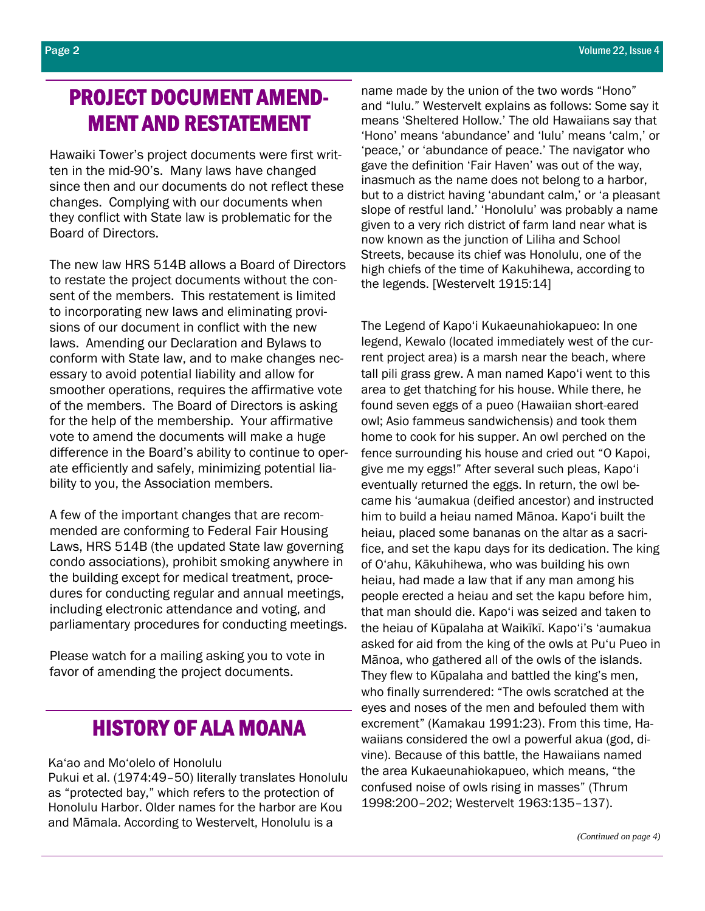## PROJECT DOCUMENT AMEND-MENT AND RESTATEMENT

Hawaiki Tower's project documents were first written in the mid-90's. Many laws have changed since then and our documents do not reflect these changes. Complying with our documents when they conflict with State law is problematic for the Board of Directors.

The new law HRS 514B allows a Board of Directors to restate the project documents without the consent of the members. This restatement is limited to incorporating new laws and eliminating provisions of our document in conflict with the new laws. Amending our Declaration and Bylaws to conform with State law, and to make changes necessary to avoid potential liability and allow for smoother operations, requires the affirmative vote of the members. The Board of Directors is asking for the help of the membership. Your affirmative vote to amend the documents will make a huge difference in the Board's ability to continue to operate efficiently and safely, minimizing potential liability to you, the Association members.

A few of the important changes that are recommended are conforming to Federal Fair Housing Laws, HRS 514B (the updated State law governing condo associations), prohibit smoking anywhere in the building except for medical treatment, procedures for conducting regular and annual meetings, including electronic attendance and voting, and parliamentary procedures for conducting meetings.

Please watch for a mailing asking you to vote in favor of amending the project documents.

### HISTORY OF ALA MOANA

Ka'ao and Mo'olelo of Honolulu

Pukui et al. (1974:49–50) literally translates Honolulu as "protected bay," which refers to the protection of Honolulu Harbor. Older names for the harbor are Kou and Māmala. According to Westervelt, Honolulu is a

name made by the union of the two words "Hono" and "lulu." Westervelt explains as follows: Some say it means 'Sheltered Hollow.' The old Hawaiians say that 'Hono' means 'abundance' and 'lulu' means 'calm,' or 'peace,' or 'abundance of peace.' The navigator who gave the definition 'Fair Haven' was out of the way, inasmuch as the name does not belong to a harbor, but to a district having 'abundant calm,' or 'a pleasant slope of restful land.' 'Honolulu' was probably a name given to a very rich district of farm land near what is now known as the junction of Liliha and School Streets, because its chief was Honolulu, one of the high chiefs of the time of Kakuhihewa, according to the legends. [Westervelt 1915:14]

The Legend of Kapo'i Kukaeunahiokapueo: In one legend, Kewalo (located immediately west of the current project area) is a marsh near the beach, where tall pili grass grew. A man named Kapo'i went to this area to get thatching for his house. While there, he found seven eggs of a pueo (Hawaiian short-eared owl; Asio fammeus sandwichensis) and took them home to cook for his supper. An owl perched on the fence surrounding his house and cried out "O Kapoi, give me my eggs!" After several such pleas, Kapo'i eventually returned the eggs. In return, the owl became his 'aumakua (deified ancestor) and instructed him to build a heiau named Mānoa. Kapo'i built the heiau, placed some bananas on the altar as a sacrifice, and set the kapu days for its dedication. The king of O'ahu, Kākuhihewa, who was building his own heiau, had made a law that if any man among his people erected a heiau and set the kapu before him, that man should die. Kapo'i was seized and taken to the heiau of Kūpalaha at Waikīkī. Kapo'i's 'aumakua asked for aid from the king of the owls at Pu'u Pueo in Mānoa, who gathered all of the owls of the islands. They flew to Kūpalaha and battled the king's men, who finally surrendered: "The owls scratched at the eyes and noses of the men and befouled them with excrement" (Kamakau 1991:23). From this time, Hawaiians considered the owl a powerful akua (god, divine). Because of this battle, the Hawaiians named the area Kukaeunahiokapueo, which means, "the confused noise of owls rising in masses" (Thrum 1998:200–202; Westervelt 1963:135–137).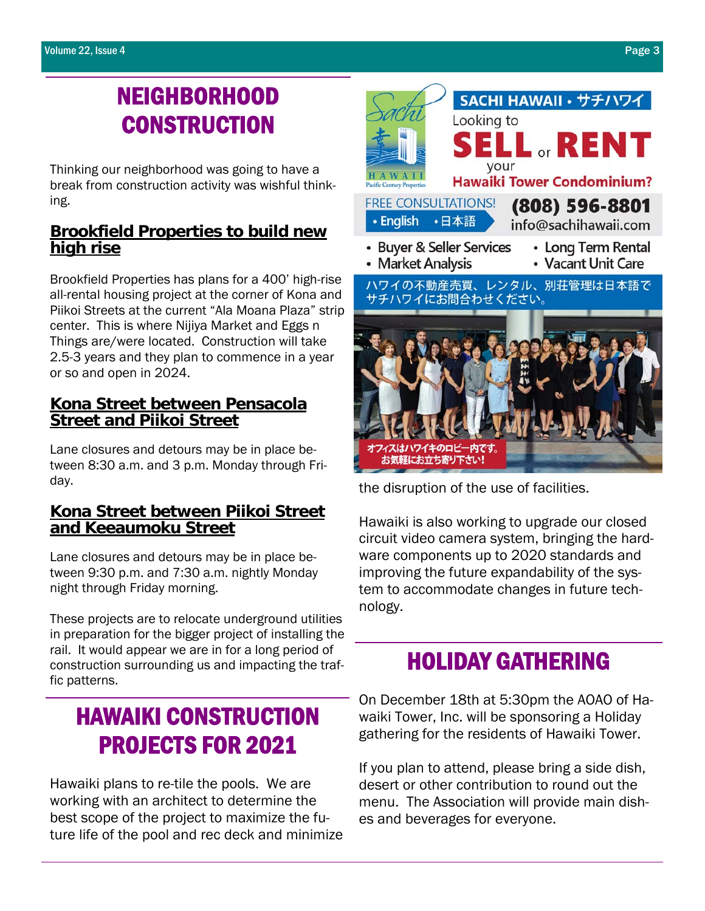# NEIGHBORHOOD **CONSTRUCTION**

Thinking our neighborhood was going to have a break from construction activity was wishful thinking.

### **Brookfield Properties to build new high rise**

Brookfield Properties has plans for a 400' high-rise all-rental housing project at the corner of Kona and Piikoi Streets at the current "Ala Moana Plaza" strip center. This is where Nijiya Market and Eggs n Things are/were located. Construction will take 2.5-3 years and they plan to commence in a year or so and open in 2024.

### **Kona Street between Pensacola Street and Piikoi Street**

Lane closures and detours may be in place between 8:30 a.m. and 3 p.m. Monday through Friday.

#### **Kona Street between Piikoi Street and Keeaumoku Street**

Lane closures and detours may be in place between 9:30 p.m. and 7:30 a.m. nightly Monday night through Friday morning.

These projects are to relocate underground utilities in preparation for the bigger project of installing the rail. It would appear we are in for a long period of construction surrounding us and impacting the traffic patterns.

# HAWAIKI CONSTRUCTION PROJECTS FOR 2021

Hawaiki plans to re-tile the pools. We are working with an architect to determine the best scope of the project to maximize the future life of the pool and rec deck and minimize



the disruption of the use of facilities.

Hawaiki is also working to upgrade our closed circuit video camera system, bringing the hardware components up to 2020 standards and improving the future expandability of the system to accommodate changes in future technology.

# HOLIDAY GATHERING

On December 18th at 5:30pm the AOAO of Hawaiki Tower, Inc. will be sponsoring a Holiday gathering for the residents of Hawaiki Tower.

If you plan to attend, please bring a side dish, desert or other contribution to round out the menu. The Association will provide main dishes and beverages for everyone.